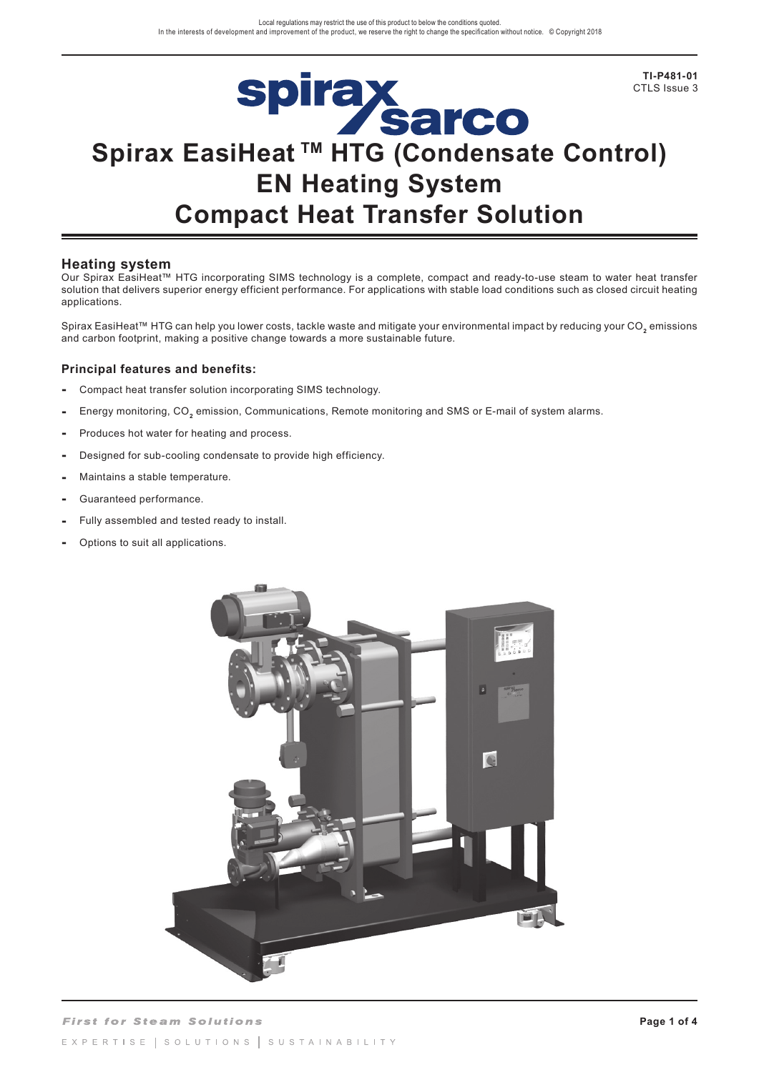**TI-P481-01** CTLS Issue 3

# Spirax<br>Sarco<br>Spirax EasiHeat <sup>TM</sup> HTG (Condensate Control) **EN Heating System Compact Heat Transfer Solution**

# **Heating system**

Our Spirax EasiHeat™ HTG incorporating SIMS technology is a complete, compact and ready-to-use steam to water heat transfer solution that delivers superior energy efficient performance. For applications with stable load conditions such as closed circuit heating applications.

Spirax EasiHeat™ HTG can help you lower costs, tackle waste and mitigate your environmental impact by reducing your CO**2** emissions and carbon footprint, making a positive change towards a more sustainable future.

# **Principal features and benefits:**

- Compact heat transfer solution incorporating SIMS technology.
- Energy monitoring, CO**2** emission, Communications, Remote monitoring and SMS or E-mail of system alarms.
- Produces hot water for heating and process.
- Designed for sub-cooling condensate to provide high efficiency.
- Maintains a stable temperature.
- Guaranteed performance.
- Fully assembled and tested ready to install.
- **-** Options to suit all applications.

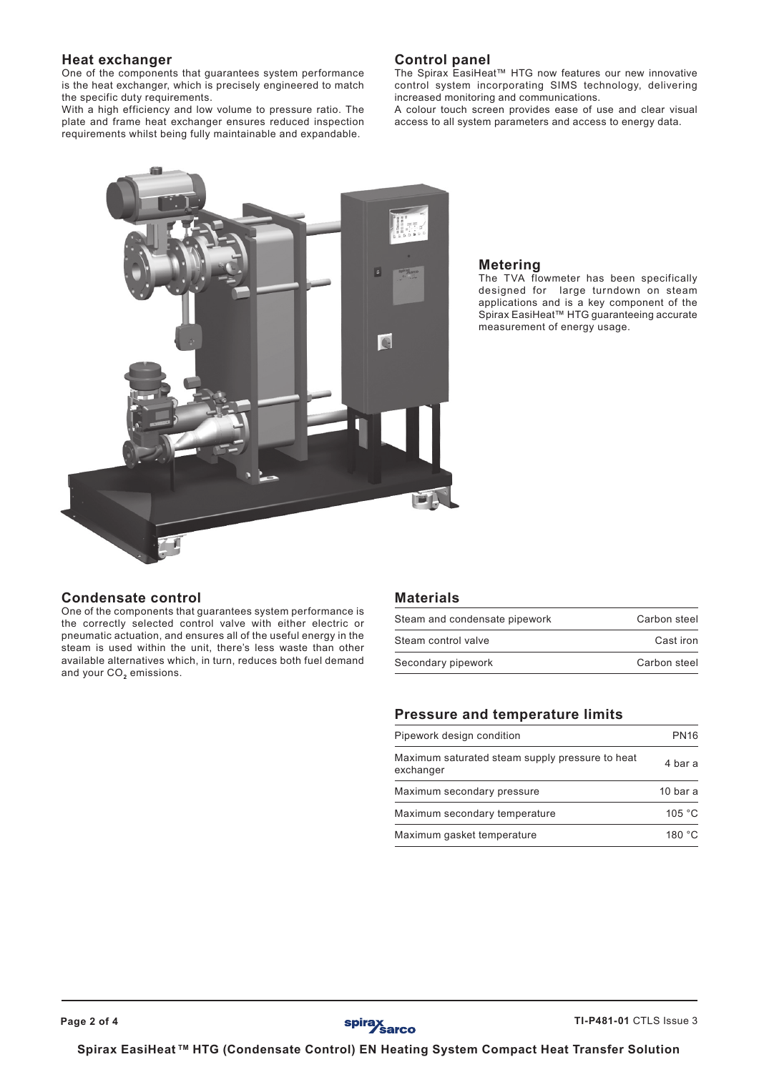# **Heat exchanger**

One of the components that guarantees system performance is the heat exchanger, which is precisely engineered to match the specific duty requirements.

With a high efficiency and low volume to pressure ratio. The plate and frame heat exchanger ensures reduced inspection requirements whilst being fully maintainable and expandable.

# **Control panel**

The Spirax EasiHeat™ HTG now features our new innovative control system incorporating SIMS technology, delivering increased monitoring and communications.

A colour touch screen provides ease of use and clear visual access to all system parameters and access to energy data.



## **Metering**

The TVA flowmeter has been specifically designed for large turndown on steam applications and is a key component of the Spirax EasiHeat™ HTG guaranteeing accurate measurement of energy usage.

## **Condensate control**

One of the components that guarantees system performance is the correctly selected control valve with either electric or pneumatic actuation, and ensures all of the useful energy in the steam is used within the unit, there's less waste than other available alternatives which, in turn, reduces both fuel demand and your CO<sub>2</sub> emissions.

#### **Materials**

| Steam and condensate pipework | Carbon steel |
|-------------------------------|--------------|
| Steam control valve           | Cast iron    |
| Secondary pipework            | Carbon steel |

## **Pressure and temperature limits**

| Pipework design condition                                    | <b>PN16</b> |  |  |
|--------------------------------------------------------------|-------------|--|--|
| Maximum saturated steam supply pressure to heat<br>exchanger | 4 bar a     |  |  |
| Maximum secondary pressure                                   | 10 bar a    |  |  |
| Maximum secondary temperature                                | 105 °C      |  |  |
| Maximum gasket temperature                                   | 180 °C      |  |  |

**Spirax EasiHeat TM HTG (Condensate Control) EN Heating System Compact Heat Transfer Solution**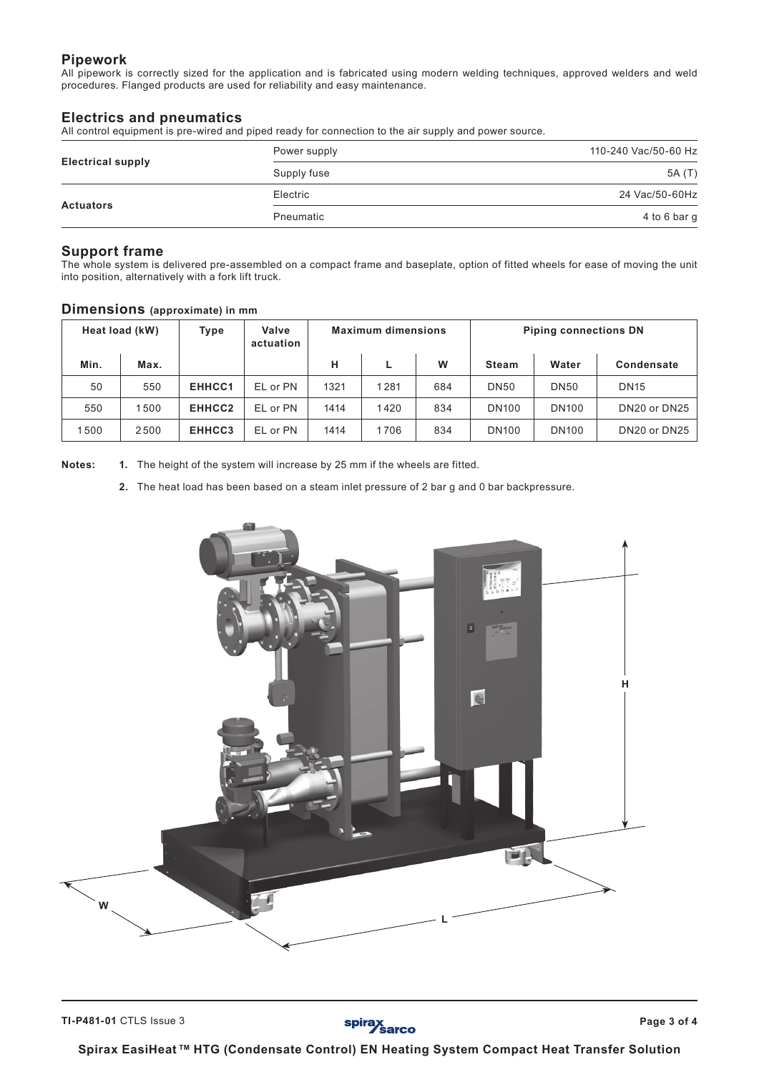# **Pipework**

All pipework is correctly sized for the application and is fabricated using modern welding techniques, approved welders and weld procedures. Flanged products are used for reliability and easy maintenance.

# **Electrics and pneumatics**

All control equipment is pre-wired and piped ready for connection to the air supply and power source.

|                          | Power supply | 110-240 Vac/50-60 Hz |
|--------------------------|--------------|----------------------|
| <b>Electrical supply</b> | Supply fuse  | 5A (T)               |
|                          | Electric     | 24 Vac/50-60Hz       |
| <b>Actuators</b>         | Pneumatic    | 4 to 6 bar g         |

### **Support frame**

The whole system is delivered pre-assembled on a compact frame and baseplate, option of fitted wheels for ease of moving the unit into position, alternatively with a fork lift truck.

|      | Heat load (kW) | Type   | Valve<br>actuation |      | <b>Maximum dimensions</b> |     |              |              | <b>Piping connections DN</b> |  |  |
|------|----------------|--------|--------------------|------|---------------------------|-----|--------------|--------------|------------------------------|--|--|
| Min. | Max.           |        |                    | н    |                           | W   | <b>Steam</b> | Water        | Condensate                   |  |  |
| 50   | 550            | EHHCC1 | EL or PN           | 1321 | 1281                      | 684 | <b>DN50</b>  | <b>DN50</b>  | <b>DN15</b>                  |  |  |
| 550  | 1500           | EHHCC2 | EL or PN           | 1414 | 1420                      | 834 | <b>DN100</b> | <b>DN100</b> | DN20 or DN25                 |  |  |
| 1500 | 2500           | EHHCC3 | EL or PN           | 1414 | 1706                      | 834 | <b>DN100</b> | <b>DN100</b> | DN20 or DN25                 |  |  |

#### **Dimensions (approximate) in mm**

**Notes: 1.** The height of the system will increase by 25 mm if the wheels are fitted.

**2.** The heat load has been based on a steam inlet pressure of 2 bar g and 0 bar backpressure.



spirax<br>
Sarco